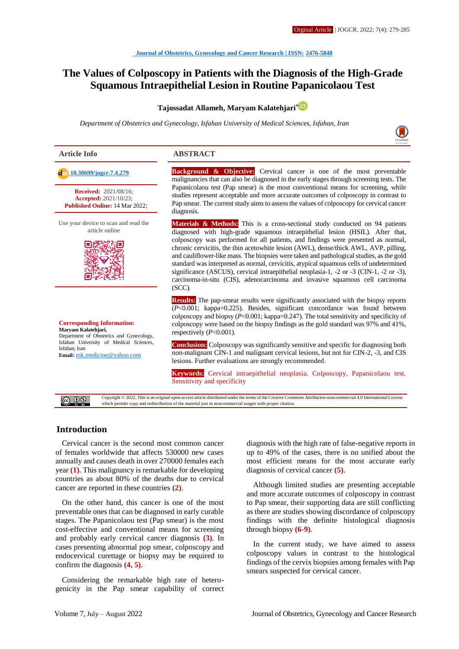## **The Values of Colposcopy in Patients with the Diagnosis of the High-Grade Squamous Intraepithelial Lesion in Routine Papanicolaou Test**

#### **Tajossadat Allameh, Maryam Kalatehjari[\\*](http://orcid.org/0000000241516818)**

*Department of Obstetrics and Gynecology, Isfahan University of Medical Sciences, Isfahan, Iran*



# diagnosis. (SCC). **Received:** 2021/08/16; **Accepted:** 2021/10/23; **Published Online:** 14 Mar 2022; Use your device to scan and read the article online **Corresponding Information: Maryam Kalatehjari,** Department of Obstetrics and Gynecology,

Isfahan University of Medical Sciences, Isfahan, Iran **Email:** [mk.medicine@yahoo.com](mailto:mk.medicine@yahoo.com)

#### **Article Info ABSTRACT**

 **[10.30699/jogcr.7.4.279](http://dx.doi.org/10.30699/jogcr.7.4.279) Background & Objective:** Cervical cancer is one of the most preventable malignancies that can also be diagnosed in the early stages through screening tests. The Papanicolaou test (Pap smear) is the most conventional means for screening, while studies represent acceptable and more accurate outcomes of colposcopy in contrast to Pap smear. The current study aims to assess the values of colposcopy for cervical cancer

> **Materials & Methods:** This is a cross-sectional study conducted on 94 patients diagnosed with high-grade squamous intraepithelial lesion (HSIL). After that, colposcopy was performed for all patients, and findings were presented as normal, chronic cervicitis, the thin acetowhite lesion (AWL), dense/thick AWL, AVP, pilling, and cauliflower-like mass. The biopsies were taken and pathological studies, as the gold standard was interpreted as normal, cervicitis, atypical squamous cells of undetermined significance (ASCUS), cervical intraepithelial neoplasia-1, -2 or -3 (CIN-1, -2 or -3), carcinoma-in-situ (CIS), adenocarcinoma and invasive squamous cell carcinoma

> **Results:** The pap-smear results were significantly associated with the biopsy reports (*P*<0.001; kappa=0.225). Besides, significant concordance was found between colposcopy and biopsy (*P*<0.001; kappa=0.247). The total sensitivity and specificity of colposcopy were based on the biopsy findings as the gold standard was 97% and 41%, respectively (*P*<0.001).

> **Conclusion:** Colposcopy was significantly sensitive and specific for diagnosing both non-malignant CIN-1 and malignant cervical lesions, but not for CIN-2, -3, and CIS lesions. Further evaluations are strongly recommended.

> **Keywords:** Cervical intraepithelial neoplasia, Colposcopy, Papanicolaou test, Sensitivity and specificity

Copyright © 2022, This is an original open-access article distributed under the terms of the Creative Commons Attribution-noncommercial 4.0 International License  $@@@@$ which permits copy and redistribution of the material just in noncommercial usages with proper citation.

#### **Introduction**

Cervical cancer is the second most common cancer of females worldwide that affects 530000 new cases annually and causes death in over 270000 females each year **(1)**. This malignancy is remarkable for developing countries as about 80% of the deaths due to cervical cancer are reported in these countries **(2)**.

On the other hand, this cancer is one of the most preventable ones that can be diagnosed in early curable stages. The Papanicolaou test (Pap smear) is the most cost-effective and conventional means for screening and probably early cervical cancer diagnosis **(3)**. In cases presenting abnormal pop smear, colposcopy and endocervical curettage or biopsy may be required to confirm the diagnosis **(4, 5)**.

Considering the remarkable high rate of heterogenicity in the Pap smear capability of correct diagnosis with the high rate of false-negative reports in up to 49% of the cases, there is no unified about the most efficient means for the most accurate early diagnosis of cervical cancer **(5)**.

Although limited studies are presenting acceptable and more accurate outcomes of colposcopy in contrast to Pap smear, their supporting data are still conflicting as there are studies showing discordance of colposcopy findings with the definite histological diagnosis through biopsy **(6-9)**.

In the current study, we have aimed to assess colposcopy values in contrast to the histological findings of the cervix biopsies among females with Pap smears suspected for cervical cancer.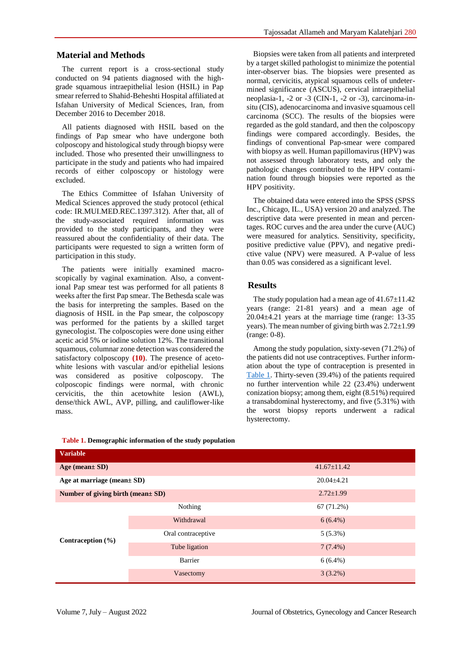### **Material and Methods**

The current report is a cross-sectional study conducted on 94 patients diagnosed with the highgrade squamous intraepithelial lesion (HSIL) in Pap smear referred to Shahid-Beheshti Hospital affiliated at Isfahan University of Medical Sciences, Iran, from December 2016 to December 2018.

All patients diagnosed with HSIL based on the findings of Pap smear who have undergone both colposcopy and histological study through biopsy were included. Those who presented their unwillingness to participate in the study and patients who had impaired records of either colposcopy or histology were excluded.

The Ethics Committee of Isfahan University of Medical Sciences approved the study protocol (ethical code: IR.MUI.MED.REC.1397.312). After that, all of the study-associated required information was provided to the study participants, and they were reassured about the confidentiality of their data. The participants were requested to sign a written form of participation in this study.

The patients were initially examined macroscopically by vaginal examination. Also, a conventional Pap smear test was performed for all patients 8 weeks after the first Pap smear. The Bethesda scale was the basis for interpreting the samples. Based on the diagnosis of HSIL in the Pap smear, the colposcopy was performed for the patients by a skilled target gynecologist. The colposcopies were done using either acetic acid 5% or iodine solution 12%. The transitional squamous, columnar zone detection was considered the satisfactory colposcopy **(10)**. The presence of acetowhite lesions with vascular and/or epithelial lesions was considered as positive colposcopy. The colposcopic findings were normal, with chronic cervicitis, the thin acetowhite lesion (AWL), dense/thick AWL, AVP, pilling, and cauliflower-like mass.

Biopsies were taken from all patients and interpreted by a target skilled pathologist to minimize the potential inter-observer bias. The biopsies were presented as normal, cervicitis, atypical squamous cells of undetermined significance (ASCUS), cervical intraepithelial neoplasia-1, -2 or -3 (CIN-1, -2 or -3), carcinoma-insitu (CIS), adenocarcinoma and invasive squamous cell carcinoma (SCC). The results of the biopsies were regarded as the gold standard, and then the colposcopy findings were compared accordingly. Besides, the findings of conventional Pap-smear were compared with biopsy as well. Human papillomavirus (HPV) was not assessed through laboratory tests, and only the pathologic changes contributed to the HPV contamination found through biopsies were reported as the HPV positivity.

The obtained data were entered into the SPSS (SPSS Inc., Chicago, IL., USA) version 20 and analyzed. The descriptive data were presented in mean and percentages. ROC curves and the area under the curve (AUC) were measured for analytics. Sensitivity, specificity, positive predictive value (PPV), and negative predictive value (NPV) were measured. A P-value of less than 0.05 was considered as a significant level.

### **Results**

The study population had a mean age of  $41.67 \pm 11.42$ years (range: 21-81 years) and a mean age of 20.04±4.21 years at the marriage time (range: 13-35 years). The mean number of giving birth was 2.72±1.99 (range: 0-8).

Among the study population, sixty-seven (71.2%) of the patients did not use contraceptives. Further information about the type of contraception is presented in [Table 1.](#page-1-0) Thirty-seven (39.4%) of the patients required no further intervention while 22 (23.4%) underwent conization biopsy; among them, eight (8.51%) required a transabdominal hysterectomy, and five (5.31%) with the worst biopsy reports underwent a radical hysterectomy.

| <b>Variable</b>                   |                    |                   |  |  |
|-----------------------------------|--------------------|-------------------|--|--|
| Age (mean $SD$ )                  |                    | $41.67 \pm 11.42$ |  |  |
| Age at marriage (mean $\pm$ SD)   |                    | $20.04 \pm 4.21$  |  |  |
| Number of giving birth (mean± SD) |                    | $2.72 \pm 1.99$   |  |  |
| Contraception $(\% )$             | Nothing            | 67 (71.2%)        |  |  |
|                                   | Withdrawal         | $6(6.4\%)$        |  |  |
|                                   | Oral contraceptive | $5(5.3\%)$        |  |  |
|                                   | Tube ligation      | $7(7.4\%)$        |  |  |
|                                   | Barrier            | $6(6.4\%)$        |  |  |
|                                   | Vasectomy          | $3(3.2\%)$        |  |  |

<span id="page-1-0"></span>**Table 1. Demographic information of the study population**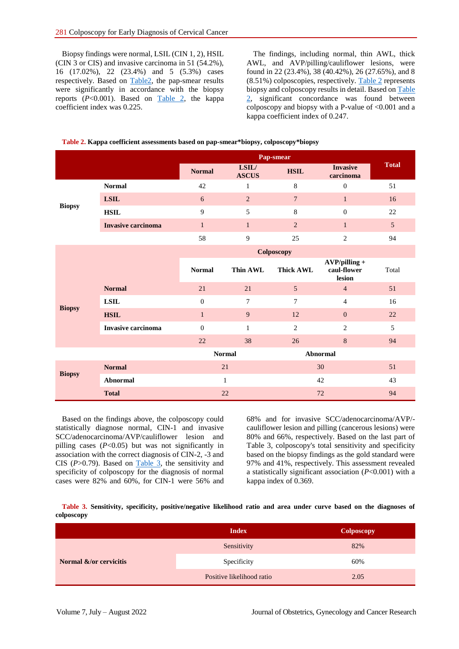Biopsy findings were normal, LSIL (CIN 1, 2), HSIL (CIN 3 or CIS) and invasive carcinoma in 51 (54.2%), 16 (17.02%), 22 (23.4%) and 5 (5.3%) cases respectively. Based on [Table2,](#page-2-0) the pap-smear results were significantly in accordance with the biopsy reports  $(P<0.001)$ . Based on [Table 2,](#page-2-0) the kappa coefficient index was 0.225.

The findings, including normal, thin AWL, thick AWL, and AVP/pilling/cauliflower lesions, were found in 22 (23.4%), 38 (40.42%), 26 (27.65%), and 8  $(8.51\%)$  colposcopies, respectively. [Table 2](#page-2-0) represents biopsy and colposcopy results in detail. Based on [Table](#page-2-0)  [2,](#page-2-0) significant concordance was found between colposcopy and biopsy with a P-value of <0.001 and a kappa coefficient index of 0.247.

<span id="page-2-0"></span>

| Table 2. Kappa coefficient assessments based on pap-smear*biopsy, colposcopy*biopsy |  |  |
|-------------------------------------------------------------------------------------|--|--|
|                                                                                     |  |  |

|               |                           | Pap-smear        |                       |                  |                                          |              |
|---------------|---------------------------|------------------|-----------------------|------------------|------------------------------------------|--------------|
|               |                           | <b>Normal</b>    | LSIL/<br><b>ASCUS</b> | <b>HSIL</b>      | <b>Invasive</b><br>carcinoma             | <b>Total</b> |
| <b>Biopsy</b> | <b>Normal</b>             | 42               | $\mathbf{1}$          | $\,8\,$          | $\boldsymbol{0}$                         | 51           |
|               | <b>LSIL</b>               | 6                | $\overline{2}$        | $7\phantom{.0}$  | $\mathbf{1}$                             | 16           |
|               | <b>HSIL</b>               | 9                | 5                     | $\,8\,$          | $\mathbf{0}$                             | 22           |
|               | <b>Invasive carcinoma</b> | $\mathbf{1}$     | $\mathbf{1}$          | 2                | $\mathbf{1}$                             | 5            |
|               |                           | 58               | 9                     | 25               | $\overline{c}$                           | 94           |
|               |                           | Colposcopy       |                       |                  |                                          |              |
|               |                           | <b>Normal</b>    | Thin AWL              | <b>Thick AWL</b> | $AVP/pilling +$<br>caul-flower<br>lesion | Total        |
|               | <b>Normal</b>             | 21               | 21                    | $5\phantom{.0}$  | $\overline{4}$                           | 51           |
| <b>Biopsy</b> | <b>LSIL</b>               | $\boldsymbol{0}$ | $\overline{7}$        | 7                | $\overline{4}$                           | 16           |
|               | <b>HSIL</b>               | $\mathbf{1}$     | 9                     | 12               | $\mathbf{0}$                             | 22           |
|               | Invasive carcinoma        | $\boldsymbol{0}$ | $\mathbf{1}$          | $\overline{2}$   | $\overline{2}$                           | 5            |
|               |                           | 22               | 38                    | $26\,$           | $\,8\,$                                  | 94           |
|               |                           |                  | <b>Normal</b>         |                  | <b>Abnormal</b>                          |              |
| <b>Biopsy</b> | <b>Normal</b>             |                  | 21                    |                  | 30                                       | 51           |
|               | <b>Abnormal</b>           |                  | 1                     |                  | 42                                       | 43           |
|               | <b>Total</b>              |                  | 22                    |                  | 72                                       | 94           |

Based on the findings above, the colposcopy could statistically diagnose normal, CIN-1 and invasive SCC/adenocarcinoma/AVP/cauliflower lesion and pilling cases (*P*<0.05) but was not significantly in association with the correct diagnosis of CIN-2, -3 and CIS (*P*>0.79). Based on [Table 3,](#page-2-1) the sensitivity and specificity of colposcopy for the diagnosis of normal cases were 82% and 60%, for CIN-1 were 56% and 68% and for invasive SCC/adenocarcinoma/AVP/ cauliflower lesion and pilling (cancerous lesions) were 80% and 66%, respectively. Based on the last part of Table 3, colposcopy's total sensitivity and specificity based on the biopsy findings as the gold standard were 97% and 41%, respectively. This assessment revealed a statistically significant association (*P*<0.001) with a kappa index of 0.369.

<span id="page-2-1"></span>**Table 3. Sensitivity, specificity, positive/negative likelihood ratio and area under curve based on the diagnoses of colposcopy**

|                        | <b>Index</b>              | Colposcopy |
|------------------------|---------------------------|------------|
|                        | Sensitivity               | 82%        |
| Normal &/or cervicitis | Specificity               | 60%        |
|                        | Positive likelihood ratio | 2.05       |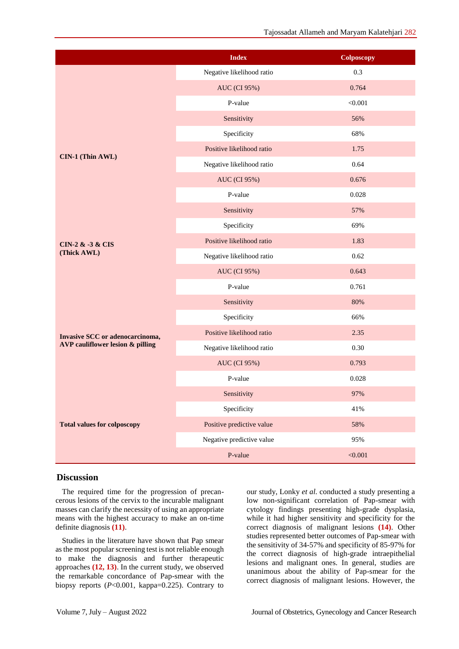|                                        | <b>Index</b>              | Colposcopy |
|----------------------------------------|---------------------------|------------|
|                                        | Negative likelihood ratio | 0.3        |
|                                        | <b>AUC</b> (CI 95%)       | 0.764      |
|                                        | P-value                   | < 0.001    |
|                                        | Sensitivity               | 56%        |
|                                        | Specificity               | 68%        |
|                                        | Positive likelihood ratio | 1.75       |
| CIN-1 (Thin AWL)                       | Negative likelihood ratio | 0.64       |
|                                        | AUC (CI 95%)              | 0.676      |
|                                        | P-value                   | 0.028      |
|                                        | Sensitivity               | 57%        |
|                                        | Specificity               | 69%        |
| <b>CIN-2 &amp; -3 &amp; CIS</b>        | Positive likelihood ratio | 1.83       |
| (Thick AWL)                            | Negative likelihood ratio | 0.62       |
|                                        | <b>AUC</b> (CI 95%)       | 0.643      |
|                                        | P-value                   | 0.761      |
|                                        | Sensitivity               | 80%        |
|                                        | Specificity               | 66%        |
| <b>Invasive SCC</b> or adenocarcinoma, | Positive likelihood ratio | 2.35       |
| AVP cauliflower lesion & pilling       | Negative likelihood ratio | 0.30       |
|                                        | <b>AUC</b> (CI 95%)       | 0.793      |
|                                        | P-value                   | 0.028      |
|                                        | Sensitivity               | 97%        |
|                                        | Specificity               | 41%        |
| <b>Total values for colposcopy</b>     | Positive predictive value | 58%        |
|                                        | Negative predictive value | 95%        |
|                                        | P-value                   | < 0.001    |

#### **Discussion**

The required time for the progression of precancerous lesions of the cervix to the incurable malignant masses can clarify the necessity of using an appropriate means with the highest accuracy to make an on-time definite diagnosis **(11)**.

Studies in the literature have shown that Pap smear as the most popular screening test is not reliable enough to make the diagnosis and further therapeutic approaches **(12, 13)**. In the current study, we observed the remarkable concordance of Pap-smear with the biopsy reports (*P*<0.001, kappa=0.225). Contrary to our study, Lonky *et al.* conducted a study presenting a low non-significant correlation of Pap-smear with cytology findings presenting high-grade dysplasia, while it had higher sensitivity and specificity for the correct diagnosis of malignant lesions **(14)**. Other studies represented better outcomes of Pap-smear with the sensitivity of 34-57% and specificity of 85-97% for the correct diagnosis of high-grade intraepithelial lesions and malignant ones. In general, studies are unanimous about the ability of Pap-smear for the correct diagnosis of malignant lesions. However, the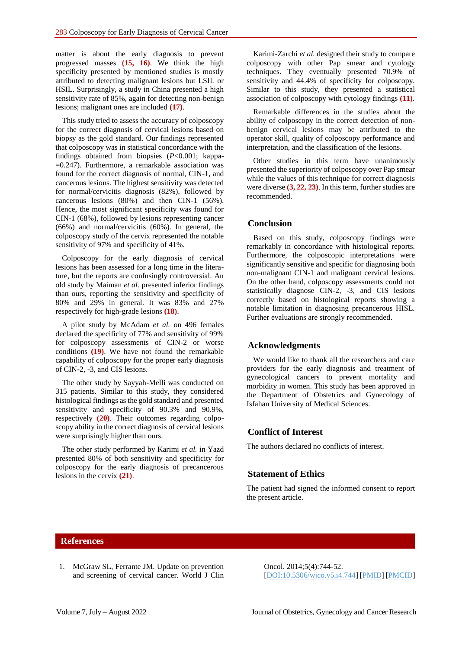matter is about the early diagnosis to prevent progressed masses **(15, 16)**. We think the high specificity presented by mentioned studies is mostly attributed to detecting malignant lesions but LSIL or HSIL. Surprisingly, a study in China presented a high sensitivity rate of 85%, again for detecting non-benign lesions; malignant ones are included **(17)**.

This study tried to assess the accuracy of colposcopy for the correct diagnosis of cervical lesions based on biopsy as the gold standard. Our findings represented that colposcopy was in statistical concordance with the findings obtained from biopsies (*P*<0.001; kappa- =0.247). Furthermore, a remarkable association was found for the correct diagnosis of normal, CIN-1, and cancerous lesions. The highest sensitivity was detected for normal/cervicitis diagnosis (82%), followed by cancerous lesions (80%) and then CIN-1 (56%). Hence, the most significant specificity was found for CIN-1 (68%), followed by lesions representing cancer (66%) and normal/cervicitis (60%). In general, the colposcopy study of the cervix represented the notable sensitivity of 97% and specificity of 41%.

Colposcopy for the early diagnosis of cervical lesions has been assessed for a long time in the literature, but the reports are confusingly controversial. An old study by Maiman *et al.* presented inferior findings than ours, reporting the sensitivity and specificity of 80% and 29% in general. It was 83% and 27% respectively for high-grade lesions **(18)**.

A pilot study by McAdam *et al.* on 496 females declared the specificity of 77% and sensitivity of 99% for colposcopy assessments of CIN-2 or worse conditions **(19)**. We have not found the remarkable capability of colposcopy for the proper early diagnosis of CIN-2, -3, and CIS lesions.

The other study by Sayyah-Melli was conducted on 315 patients. Similar to this study, they considered histological findings as the gold standard and presented sensitivity and specificity of 90.3% and 90.9%, respectively **(20)**. Their outcomes regarding colposcopy ability in the correct diagnosis of cervical lesions were surprisingly higher than ours.

The other study performed by Karimi *et al.* in Yazd presented 80% of both sensitivity and specificity for colposcopy for the early diagnosis of precancerous lesions in the cervix **(21)**.

Karimi-Zarchi *et al.* designed their study to compare colposcopy with other Pap smear and cytology techniques. They eventually presented 70.9% of sensitivity and 44.4% of specificity for colposcopy. Similar to this study, they presented a statistical association of colposcopy with cytology findings **(11)**.

Remarkable differences in the studies about the ability of colposcopy in the correct detection of nonbenign cervical lesions may be attributed to the operator skill, quality of colposcopy performance and interpretation, and the classification of the lesions.

Other studies in this term have unanimously presented the superiority of colposcopy over Pap smear while the values of this technique for correct diagnosis were diverse **(3, 22, 23)**. In this term, further studies are recommended.

#### **Conclusion**

Based on this study, colposcopy findings were remarkably in concordance with histological reports. Furthermore, the colposcopic interpretations were significantly sensitive and specific for diagnosing both non-malignant CIN-1 and malignant cervical lesions. On the other hand, colposcopy assessments could not statistically diagnose CIN-2, -3, and CIS lesions correctly based on histological reports showing a notable limitation in diagnosing precancerous HISL. Further evaluations are strongly recommended.

#### **Acknowledgments**

We would like to thank all the researchers and care providers for the early diagnosis and treatment of gynecological cancers to prevent mortality and morbidity in women. This study has been approved in the Department of Obstetrics and Gynecology of Isfahan University of Medical Sciences.

#### **Conflict of Interest**

The authors declared no conflicts of interest.

#### **Statement of Ethics**

The patient had signed the informed consent to report the present article.

#### **References**

1. McGraw SL, Ferrante JM. Update on prevention and screening of cervical cancer. World J Clin Oncol. 2014;5(4):744-52. [\[DOI:10.5306/wjco.v5.i4.744\]](https://doi.org/10.5306/wjco.v5.i4.744) [\[PMID\]](https://www.ncbi.nlm.nih.gov/pubmed/25302174) [\[PMCID\]](http://www.ncbi.nlm.nih.gov/pmc/articles/PMC4129537)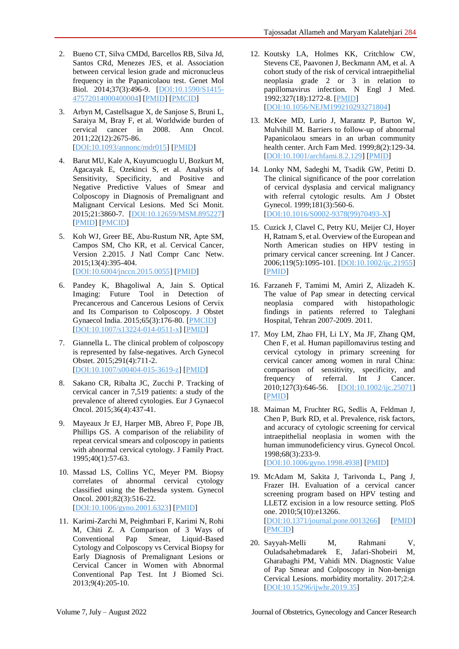- 2. Bueno CT, Silva CMDd, Barcellos RB, Silva Jd, Santos CRd, Menezes JES, et al. Association between cervical lesion grade and micronucleus frequency in the Papanicolaou test. Genet Mol Biol. 2014;37(3):496-9. [\[DOI:10.1590/S1415-](https://doi.org/10.1590/S1415-47572014000400004) [47572014000400004\]](https://doi.org/10.1590/S1415-47572014000400004) [\[PMID\]](https://www.ncbi.nlm.nih.gov/pubmed/25249771) [\[PMCID\]](http://www.ncbi.nlm.nih.gov/pmc/articles/PMC4171763)
- 3. Arbyn M, Castellsague X, de Sanjose S, Bruni L, Saraiya M, Bray F, et al. Worldwide burden of cervical cancer in 2008. Ann Oncol. 2011;22(12):2675-86. [\[DOI:10.1093/annonc/mdr015\]](https://doi.org/10.1093/annonc/mdr015) [\[PMID\]](https://www.ncbi.nlm.nih.gov/pubmed/21471563)
- 4. Barut MU, Kale A, Kuyumcuoglu U, Bozkurt M, Agacayak E, Ozekinci S, et al. Analysis of Sensitivity, Specificity, and Positive and Negative Predictive Values of Smear and Colposcopy in Diagnosis of Premalignant and Malignant Cervical Lesions. Med Sci Monit. 2015;21:3860-7. [\[DOI:10.12659/MSM.895227\]](https://doi.org/10.12659/MSM.895227) [\[PMID\]](https://www.ncbi.nlm.nih.gov/pubmed/26655816) [\[PMCID\]](http://www.ncbi.nlm.nih.gov/pmc/articles/PMC4678924)
- 5. Koh WJ, Greer BE, Abu-Rustum NR, Apte SM, Campos SM, Cho KR, et al. Cervical Cancer, Version 2.2015. J Natl Compr Canc Netw. 2015;13(4):395-404. [\[DOI:10.6004/jnccn.2015.0055\]](https://doi.org/10.6004/jnccn.2015.0055) [\[PMID\]](https://www.ncbi.nlm.nih.gov/pubmed/25870376)
- 6. Pandey K, Bhagoliwal A, Jain S. Optical Imaging: Future Tool in Detection of Precancerous and Cancerous Lesions of Cervix and Its Comparison to Colposcopy. J Obstet Gynaecol India. 2015;65(3):176-80. [\[PMCID\]](http://www.ncbi.nlm.nih.gov/pmc/articles/PMC4464571) [\[DOI:10.1007/s13224-014-0511-x\]](https://doi.org/10.1007/s13224-014-0511-x) [\[PMID\]](https://www.ncbi.nlm.nih.gov/pubmed/26085739)
- 7. Giannella L. The clinical problem of colposcopy is represented by false-negatives. Arch Gynecol Obstet. 2015;291(4):711-2. [\[DOI:10.1007/s00404-015-3619-z\]](https://doi.org/10.1007/s00404-015-3619-z) [\[PMID\]](https://www.ncbi.nlm.nih.gov/pubmed/25600446)
- 8. Sakano CR, Ribalta JC, Zucchi P. Tracking of cervical cancer in 7,519 patients: a study of the prevalence of altered cytologies. Eur J Gynaecol Oncol. 2015;36(4):437-41.
- 9. Mayeaux Jr EJ, Harper MB, Abreo F, Pope JB, Phillips GS. A comparison of the reliability of repeat cervical smears and colposcopy in patients with abnormal cervical cytology. J Family Pract. 1995;40(1):57-63.
- 10. Massad LS, Collins YC, Meyer PM. Biopsy correlates of abnormal cervical cytology classified using the Bethesda system. Gynecol Oncol. 2001;82(3):516-22. [\[DOI:10.1006/gyno.2001.6323\]](https://doi.org/10.1006/gyno.2001.6323) [\[PMID\]](https://www.ncbi.nlm.nih.gov/pubmed/11520149)
- 11. Karimi-Zarchi M, Peighmbari F, Karimi N, Rohi M, Chiti Z. A Comparison of 3 Ways of Conventional Pap Smear, Liquid-Based Cytology and Colposcopy vs Cervical Biopsy for Early Diagnosis of Premalignant Lesions or Cervical Cancer in Women with Abnormal Conventional Pap Test. Int J Biomed Sci. 2013;9(4):205-10.
- 12. Koutsky LA, Holmes KK, Critchlow CW, Stevens CE, Paavonen J, Beckmann AM, et al. A cohort study of the risk of cervical intraepithelial neoplasia grade 2 or 3 in relation to papillomavirus infection. N Engl J Med. 1992;327(18):1272-8. [\[PMID\]](https://www.ncbi.nlm.nih.gov/pubmed/1328880) [\[DOI:10.1056/NEJM199210293271804\]](https://doi.org/10.1056/NEJM199210293271804)
- 13. McKee MD, Lurio J, Marantz P, Burton W, Mulvihill M. Barriers to follow-up of abnormal Papanicolaou smears in an urban community health center. Arch Fam Med. 1999;8(2):129-34. [\[DOI:10.1001/archfami.8.2.129\]](https://doi.org/10.1001/archfami.8.2.129) [\[PMID\]](https://www.ncbi.nlm.nih.gov/pubmed/10101983)
- 14. Lonky NM, Sadeghi M, Tsadik GW, Petitti D. The clinical significance of the poor correlation of cervical dysplasia and cervical malignancy with referral cytologic results. Am J Obstet Gynecol. 1999;181(3):560-6. [\[DOI:10.1016/S0002-9378\(99\)70493-X\]](https://doi.org/10.1016/S0002-9378(99)70493-X)
- 15. Cuzick J, Clavel C, Petry KU, Meijer CJ, Hoyer H, Ratnam S, et al. Overview of the European and North American studies on HPV testing in primary cervical cancer screening. Int J Cancer. 2006;119(5):1095-101. [\[DOI:10.1002/ijc.21955\]](https://doi.org/10.1002/ijc.21955) [\[PMID\]](https://www.ncbi.nlm.nih.gov/pubmed/16586444)
- 16. Farzaneh F, Tamimi M, Amiri Z, Alizadeh K. The value of Pap smear in detecting cervical neoplasia compared with histopathologic findings in patients referred to Taleghani Hospital, Tehran 2007-2009. 2011.
- 17. Moy LM, Zhao FH, Li LY, Ma JF, Zhang QM, Chen F, et al. Human papillomavirus testing and cervical cytology in primary screening for cervical cancer among women in rural China: comparison of sensitivity, specificity, and frequency of referral. Int J Cancer. 2010;127(3):646-56. [\[DOI:10.1002/ijc.25071\]](https://doi.org/10.1002/ijc.25071) [\[PMID\]](https://www.ncbi.nlm.nih.gov/pubmed/19960441)
- 18. Maiman M, Fruchter RG, Sedlis A, Feldman J, Chen P, Burk RD, et al. Prevalence, risk factors, and accuracy of cytologic screening for cervical intraepithelial neoplasia in women with the human immunodeficiency virus. Gynecol Oncol. 1998;68(3):233-9. [\[DOI:10.1006/gyno.1998.4938\]](https://doi.org/10.1006/gyno.1998.4938) [\[PMID\]](https://www.ncbi.nlm.nih.gov/pubmed/9570972)
- 19. McAdam M, Sakita J, Tarivonda L, Pang J, Frazer IH. Evaluation of a cervical cancer screening program based on HPV testing and LLETZ excision in a low resource setting. PloS one. 2010;5(10):e13266. [\[DOI:10.1371/journal.pone.0013266\]](https://doi.org/10.1371/journal.pone.0013266) [\[PMID\]](https://www.ncbi.nlm.nih.gov/pubmed/20949059) [\[PMCID\]](http://www.ncbi.nlm.nih.gov/pmc/articles/PMC2951361)
- 20. Sayyah-Melli M, Rahmani V, Ouladsahebmadarek E, Jafari-Shobeiri M, Gharabaghi PM, Vahidi MN. Diagnostic Value of Pap Smear and Colposcopy in Non-benign Cervical Lesions. morbidity mortality. 2017;2:4. [\[DOI:10.15296/ijwhr.2019.35\]](https://doi.org/10.15296/ijwhr.2019.35)